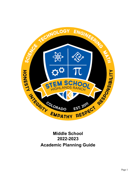

# **2022-2023 Academic Planning Guide**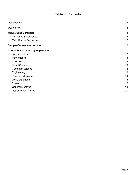# **Table of Contents**

| <b>Our Mission</b>                       | 3  |
|------------------------------------------|----|
| <b>Our Vision</b>                        | 3  |
| <b>Middle School Policies</b>            | 4  |
| MS Scope & Sequence                      | 5  |
| Math Course Sequence                     | 6  |
| <b>Sample Course Interpretation</b>      | 6  |
| <b>Course Descriptions by Department</b> | 7  |
| Language Arts                            | 7  |
| <b>Mathematics</b>                       | 8  |
| Science                                  | 9  |
| <b>Social Studies</b>                    | 10 |
| <b>Computer Science</b>                  | 12 |
| Engineering                              | 13 |
| <b>Physical Education</b>                | 14 |
| World Language                           | 15 |
| Fine Arts                                | 16 |
| <b>General Electives</b>                 | 18 |
| Not Currently Offered                    | 20 |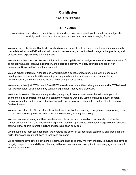# **Our Mission**

Never Stop Innovating

# **Our Vision**

<span id="page-2-1"></span><span id="page-2-0"></span>We envision a world of exponential possibilities where every child develops the innate knowledge, skills, creativity, and character to thrive, lead, and succeed in an ever-changing future.

Welcome to STEM School [Highlands](http://stemk12.org) Ranch. We are an innovative, free, public, charter learning community that exists to innovate K-12 education in order to prepare every student to lead change, solve problems, and succeed in an exponentially changing world.

We are more than a school. We are a think tank, a learning lab, and a catalyst for creativity. We are a haven for continual innovation, creative exploration, and rigorous discovery. We defy definition and break with convention. Because that's what innovators do.

We see school differently. Although our curriculum has a college preparatory focus with emphasis on developing core liberal arts skills in reading, writing, mathematics, and science, we use creativity, problem-solving, and innovation to inspire and challenge our students.

We are more than just STEM. We infuse STEM into all classrooms. We challenge students with STEM-based, real-world problem solving fueled by constant exploration, inquiry, and discovery.

We foster innovation. We equip every student, every day, in every classroom with the knowledge, skills, confidence, and character to thrive in a constantly changing world. By using continuous inquiry, constant discovery, and trial and error as critical pathways to new discoveries, we create a culture of safe failure and fearless innovation.

We empower students. We put students in the driver's seat of their learning, engaging and empowering them to push their own unique boundaries of innovative learning, thinking, and doing.

We see teachers as catalysts. Here, teachers are role models and innovation coaches who provide the framework for learning. Our teachers are experts in teaching appropriate use of technology, collaboration, and teamwork that sparks interest in STEM and learning at an early age.

We innovate and learn together. Here, we leverage the power of collaboration, teamwork, and group think to build, design and create solutions to real-world problems.

We're fostering tomorrow's innovators, creators, and change agents. We work tirelessly to nurture and develop integrity, respect, responsibility, and honesty within our students, and take pride in encouraging well-rounded student development.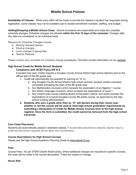# **Middle School Policies**

<span id="page-3-0"></span>**Availability of Classes:** While every effort will be made to provide the classes a student has requested during registration, some classes may not be available due to student enrollment numbers, staffing, and budget.

**Adding/Dropping a Middle School Class:** School counselors are responsible and make ALL possible schedule changes. Schedule changes are allowed **within the first 10 days of the semester.** Changes after this date are considered on an individual basis.

Reasons for Schedule Changes Include:

- Missing required classes
- Elective changes
- Level changes if appropriate
- Teacher Request

Please contact your counselor for schedule change procedures. Find their contact information on our [website.](http://www.stemk12.org/apps/pages/index.jsp?uREC_ID=759962&type=d&pREC_ID=staff)

#### **High School Credit for Middle School Students**

#### **Compliance with DCSD Policy IKF-R-2**

A student may earn credits towards a Douglas County School District high school diploma prior to the official start of the 9th grade year.

- 1. Credit will automatically be awarded for earning an "A" in:
	- a. Any Douglas County School District high school summer session content course(s) completed preceding the start of the 9th grade year
	- b. Any Mathematics course(s) which exceeds the expectation of an Algebra 1 course
	- c. Any World Language course(s), which exceeds the expectations of Level 1
	- d. Any content area course meeting Board of Education criteria, and which exceeds the expectations of a typical Douglas County 9th grade course, as approved by the high school building administration.
- **2. Students who earn a grade other than an "A" will declare during their Junior year whether or not the course will be used to meet high school graduation requirements by submitting a Declaration of Credit for Middle School Courses form to the high school registrar. Once the form is submitted, the credit cannot be removed from the high school transcript.**

#### **Core Class Placement**

Students are automatically placed in standard classes. If accelerated placement is desired, teacher input is preferred and parent requests will be taken into consideration.

#### **Course Descriptions for High School Courses**

Please see the High School Academic Planning Guide at [www.stemk12.org.](http://www.stemk12.org)

#### **Fees**

Course Fees –As per STEM Charter Board policy, where additional charges are required for specific courses, the costs will be noted in the course description. \*Fees are subject to change.

#### **Honor Roll**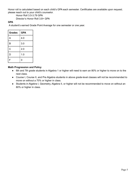Honor roll is calculated based on each child's GPA each semester. Certificates are available upon request; please reach out to your child's counselor.

Honor Roll 3.5-3.79 GPA

Director's Honor Roll 3.8+ GPA

#### **GPA**

A student's earned Grade Point Average for one semester or one year.

| <b>Grades</b> | <b>GPA</b> |
|---------------|------------|
| A             | 4.0        |
| B             | 3.0        |
| C             | 2.0        |
| D             | 1.0        |
| F             | 0          |

#### **Math Progression and Policy**

- 6th and 7th grade students in Algebra 1 or higher will need to earn an 80% or higher to move on to the next class.
- Course I, Course II, and Pre Algebra students in above grade-level classes will not be recommended to move on without a 70% or higher in class.
- Students in Algebra I, Geometry, Algebra II, or higher will not be recommended to move on without an 80% or higher in class.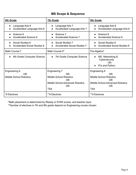# **MS Scope & Sequence**

<span id="page-5-0"></span>

| 6th Grade                                                   | <b>7th Grade</b>                                                                                                            | 8th Grade                                                                                                                                    |
|-------------------------------------------------------------|-----------------------------------------------------------------------------------------------------------------------------|----------------------------------------------------------------------------------------------------------------------------------------------|
| Language Arts 6<br>$\bullet$<br>Accelerated Language Arts 6 | Language Arts 7<br>Accelerated Language Arts 7                                                                              | Language Arts 8<br>Accelerated Language Arts 8                                                                                               |
| Science 6<br>$\bullet$<br><b>Accelerated Science 6</b>      | Science 7<br><b>Accelerated Science 7</b>                                                                                   | Science 8<br><b>Accelerated Science 8</b>                                                                                                    |
| Social Studies 6<br><b>Accelerated Social Studies 6</b>     | Social Studies 7<br><b>Accelerated Social Studies 7</b>                                                                     | Social Studies 8<br><b>Accelerated Social Studies 8</b>                                                                                      |
| Math Course I*                                              | Math Course II*                                                                                                             | Pre-Algebra*                                                                                                                                 |
| 6th Grade Computer Science<br>$\bullet$                     | 7th Grade Computer Science                                                                                                  | MS Networking &<br>Cybersecurity<br><b>OR</b><br>Pi's and Python                                                                             |
| Engineering 6<br>0R<br><b>Middle School Robotics</b>        | <b>Engineering 7</b><br>OR.<br><b>Middle School Robotics</b><br>OR.<br>Middle School Advanced Robotics<br>OR.<br><b>TSA</b> | <b>Engineering 8</b><br>OR.<br><b>Middle School Robotics</b><br>0 <sub>R</sub><br><b>Middle School Advanced Robotics</b><br>0R<br><b>TSA</b> |
| *6 Electives                                                | **6 Electives                                                                                                               | **6 Electives                                                                                                                                |

\*Math placement is determined by iReady or STAR scores, and teacher input

\*\*Number of electives in 7th and 8th grade depend on Engineering course chosen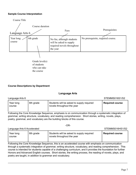#### <span id="page-6-0"></span>**Sample Course Interpretation**



#### <span id="page-6-1"></span>**Course Descriptions by Department**

#### **Language Arts**

| Language Arts 6     |           |                                                                         | STEMMS016S1/S2         |
|---------------------|-----------|-------------------------------------------------------------------------|------------------------|
| Year long<br>course | 6th grade | Students will be asked to supply required<br>novels throughout the year | <b>Required course</b> |

Following the Core Knowledge Sequence, emphasis is on communication through a systematic integration of grammar, writing structure, vocabulary, and reading comprehension. Short stories, writing, novels, plays, poetry, grammar, and vocabulary are the building blocks of this course.

|                             |           | $\sim$                                                                  |                        |
|-----------------------------|-----------|-------------------------------------------------------------------------|------------------------|
| Language Arts 6 Accelerated |           |                                                                         | STEMMS016HS1/S2        |
| Year long<br>course         | 6th grade | Students will be asked to supply required<br>novels throughout the year | <b>Required course</b> |

 $-OR<sub>-</sub>$ 

Following the Core Knowledge Sequence, this is an accelerated course with emphasis on communication through a systematic integration of grammar, writing structure, vocabulary, and reading comprehension. This course is intended for students capable of a challenging curriculum, and it provides the foundation for further Honors and Advanced English courses. Short stories, the writing process, the reading of novels, plays, and poetry are taught, in addition to grammar and vocabulary.

\_\_\_\_\_\_\_\_\_\_\_\_\_\_\_\_\_\_\_\_\_\_\_\_\_\_\_\_\_\_\_\_\_\_\_\_\_\_\_\_\_\_\_\_\_\_\_\_\_\_\_\_\_\_\_\_\_\_\_\_\_\_\_\_\_\_\_\_\_\_\_\_\_\_\_\_\_\_\_\_\_\_\_\_\_\_\_\_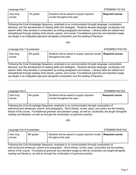STEMMS018HS1/S2

**Required course**

| Year long<br>course | 7th grade | Students will be asked to supply required<br>novels throughout the year | <b>Required course</b> |
|---------------------|-----------|-------------------------------------------------------------------------|------------------------|

Language Arts 7 Stevens and the Stevens and the Stevens and Stevens and Stevens and Stewards and Stevens and Stevens and Stevens and Stevens and Stevens and Stevens and Stevens and Stevens and Stevens and Stevens and Steve

Following the Core Knowledge Sequence, emphasis is on communication through language, composition, literature, and the development of reading skills and strategies. Students develop language, vocabulary and speech skills; they develop in composition by writing paragraphs and essays. Literacy skills are utilized and strengthened through reading short stories, poems, and novels. Foundational grammar and standard usage are taught in an integrated approach alongside composition and the reading of literature.

-OR-

Language Arts 7 Accelerated **STEMMS017HS1/S2** 

Year long

|                                                                                                             | Year long<br>course                                                                                | 6th grade | Students will be asked to supply required novels   Required course<br>throughout the year |  |  |
|-------------------------------------------------------------------------------------------------------------|----------------------------------------------------------------------------------------------------|-----------|-------------------------------------------------------------------------------------------|--|--|
|                                                                                                             | Following the Core Knowledge Sequence, emphasis is on communication through language, composition, |           |                                                                                           |  |  |
| literature, and the development of reading skills and strategies. Students develop language, vocabulary and |                                                                                                    |           |                                                                                           |  |  |

literature, and the development of reading skills and strategies. Students develop language, vocabulary and speech skills; they develop in composition by writing paragraphs and essays. Literacy skills are utilized and strengthened through reading short stories, poems, and novels. Foundational grammar and standard usage are taught in an integrated approach alongside composition and the reading of literature

\_\_\_\_\_\_\_\_\_\_\_\_\_\_\_\_\_\_\_\_\_\_\_\_\_\_\_\_\_\_\_\_\_\_\_\_\_\_\_\_\_\_\_\_\_\_\_\_\_\_\_\_\_\_\_\_\_\_\_\_\_\_\_\_\_\_\_\_\_\_\_\_\_\_\_\_\_\_\_\_\_\_\_\_\_\_\_\_

| Language Arts 8     |           |                                                                         | STEMMS018S1/S2         |
|---------------------|-----------|-------------------------------------------------------------------------|------------------------|
| Year long<br>course | 8th grade | Students will be asked to supply required<br>novels throughout the year | <b>Required course</b> |

Following the Core Knowledge Sequence, emphasis is on communication through composition of well-structured sentences, poems, and paragraphs. Short stories, novels, plays, and poetry are the building blocks of the course. Foundational grammar and standard usage, as well as, vocabulary are taught alongside reading and literature, as well as through the continuation of grammar practice.

-OR-

| Language Arts 8 Accelerated |  |
|-----------------------------|--|
|                             |  |

Following the Core Knowledge Sequence, emphasis is on communication through composition of well-structured sentences, poems and paragraphs. Short stories, novels, plays, and poetry are the building blocks of the course. Foundational grammar and standard usage as well as vocabulary are taught alongside reading and literature, as well as through the continuation of grammar practice.

8th grade Students will be asked to supply required novels

throughout the year

Year long course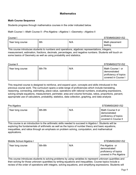#### **Mathematics**

#### <span id="page-8-1"></span><span id="page-8-0"></span>**Math Course Sequence**

Students progress through mathematics courses in the order indicated below.

#### Math Course I→Math Course II→Pre-Algebra→Algebra I→Geometry→Algebra II

| Course I         |     |     | STEMMS026S1/S2            |
|------------------|-----|-----|---------------------------|
| Year long course | 6th | N/A | Math placement<br>testing |

This course introduces students to numbers and operations, algebraic representations, integers, measurement, estimation, fractions, decimals, percentages, and negative numbers. Students will touch on some basics of Geometry as well as using probability and statistics.

| Course II        |         |     | STEMMS027S1/S2                                                                   |
|------------------|---------|-----|----------------------------------------------------------------------------------|
| Year long course | 6th-7th | N/A | Math Course I or<br>demonstrated<br>proficiency of topics<br>covered in Course I |

This required course is designed to reinforce, and expand upon, concepts and skills introduced in the previous course work. The curriculum spans a wide-range of proficiencies which include translating, reasoning, connecting, estimating, place-value, operations with rational numbers, evaluating expressions, solving simple equations, measurement, perimeter, area and volume formulas, ratios, proportions, percent, appropriate use of calculators, probability, statistics, data collection, graphing, and data analysis

Pre Algebra STEMMS028S1/S2 Year long course **6th-8th** N/A Math Course II or demonstrated proficiency of topics covered in Course II

This course is an introduction to the arithmetic skills needed to succeed in Algebra I. Students will be exploring the fundamentals of arithmetic as well as the topics of number theory and basic equations, inequalities, and ratios through an emphasis on problem solving, computation, and mathematical applications.

Middle School Algebra I Stephen Stephen Stephen Stephen Stephen Stephen Stephen Stephen Stephen Stephen Stephen Stephen Stephen Stephen Stephen Stephen Stephen Stephen Stephen Stephen Stephen Stephen Stephen Stephen Stephe

| Year long course | 6th-8th | N/A | Pre Algebra or                                  |
|------------------|---------|-----|-------------------------------------------------|
|                  |         |     | demonstrated                                    |
|                  |         |     | proficiency of topics<br>covered in Pre Algebra |

This course introduces students to solving problems by using variables to represent unknown quantities and then solving for those unknown quantities by writing equations and inequalities. Course topics include a review of the order of operations with integers, solving equations, and simplifying expressions. Students will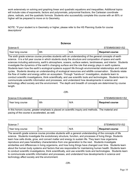work extensively on solving and graphing linear and quadratic equations and inequalities. Additional topics will include rules of exponents, factors and polynomials, polynomial fractions, the Cartesian coordinate plane, radicals, and the quadratic formula. Students who successfully complete this course with an 80% or higher will be prepared to move on to Geometry.

NOTE: \*If your student is in Geometry or higher, please refer to the HS Planning Guide for course descriptions\*

#### **Science**

<span id="page-9-0"></span>

| Science 6        |     |     | <b>STEMMS036S1/S2</b>  |
|------------------|-----|-----|------------------------|
| Year long course | 6th | N/A | <b>Required course</b> |

The sixth grade science course provides students with an understanding of the general concepts of earth science. It is a full year course in which students study the structure and composition of space and earth sciences including astronomy, earth's atmosphere, oceans, surface waters, landmasses, and interior. Students investigate the dynamics of the earth's changing surface and the role that energy plays in earth systems. Students learn how the earth's ecological systems support life through environmental relationships and natural cycles. Students develop an understanding of ecological resources and wildlife conservation. Students relate the flow of matter and energy within an ecosystem. Through "hands-on" investigation, students learn to conduct scientific investigations, think scientifically, and use scientific tools and technologies. Students learn to communicate scientific information and processes, and understand how developments in science and technology affect society and the environment. The depth and breadth of concepts are determined by course length.

-OR-

Science 6 Accelerated Stevens and STEMMS036HS1/S2

| <u>ouonou o / loooloidlou</u>                                                                         |     |     |                        |
|-------------------------------------------------------------------------------------------------------|-----|-----|------------------------|
| Year long course                                                                                      | 6th | N/A | <b>Required course</b> |
| In this honors course, greater emphasis is placed on scientific inquiry and methods. The material and |     |     |                        |

In this honors course, greater emphasis is placed on scientific inquiry and methods. The material and pacing of the course is accelerated, as well.

| Science 7        |     |     | STEMMS037S1/S2         |
|------------------|-----|-----|------------------------|
| Year long course | 7th | N/A | <b>Required course</b> |

\_\_\_\_\_\_\_\_\_\_\_\_\_\_\_\_\_\_\_\_\_\_\_\_\_\_\_\_\_\_\_\_\_\_\_\_\_\_\_\_\_\_\_\_\_\_\_\_\_\_\_\_\_\_\_\_\_\_\_\_\_\_\_\_\_\_\_\_\_\_\_\_\_\_\_\_\_\_\_\_\_\_\_\_\_\_\_\_

The seventh grade science course provides students with a general understanding of the concepts of life science. Students investigate the evolutionary structure, function, and processes of living things. Students learn how cells divide, grow, and convert matter and energy to sustain life. They learn how organisms reproduce and pass hereditary characteristics from one generation to the next. Students investigate similarities and differences in living organisms, and how living things have changed over time. Students learn about the human body systems and factors that are responsible for maintaining human health. Students learn to conduct scientific investigations, think scientifically, and use scientific tools and technologies. Students learn to communicate scientific information and processes, and understand how developments in science and technology affect society and the environment.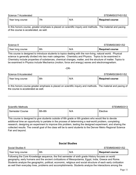Science 7 Accelerated Number 3 Accelerated STEMMS037HS1/S2

| Year long course | 7th | N/A | Required course |
|------------------|-----|-----|-----------------|
|                  |     |     |                 |

In this honors course, greater emphasis is placed on scientific inquiry and methods. The material and pacing of the course is accelerated, as well.

\_\_\_\_\_\_\_\_\_\_\_\_\_\_\_\_\_\_\_\_\_\_\_\_\_\_\_\_\_\_\_\_\_\_\_\_\_\_\_\_\_\_\_\_\_\_\_\_\_\_\_\_\_\_\_\_\_\_\_\_\_\_\_\_\_\_\_\_\_\_\_\_\_\_\_\_\_\_\_\_\_\_\_\_\_\_\_\_

Science 8 Stellar Science 8 STEMMS038S1/S2

| Year long course | 8th | N/A | <b>Required course</b> |
|------------------|-----|-----|------------------------|
|------------------|-----|-----|------------------------|

This course is designed to introduce students to topics dealing with the non-living, natural world. Physical science is generally divided into two main categories: Chemistry and Physics. Topics to be examined in Chemistry include properties of substances, chemical changes, matter, and the structure of matter. Topics to be examined in Physics include Mechanics (motion, force and energy) waves and electromagnetism.

#### -OR-

Science 8 Accelerated STEMMS038HS1/S2

| ___________________     | _ . _ |                        |
|-------------------------|-------|------------------------|
| 8th<br>Year long course | N/A   | <b>Required course</b> |

In this honors course greater emphasis is placed on scientific inquiry and methods. The material and pacing of the course is accelerated as well.

\_\_\_\_\_\_\_\_\_\_\_\_\_\_\_\_\_\_\_\_\_\_\_\_\_\_\_\_\_\_\_\_\_\_\_\_\_\_\_\_\_\_\_\_\_\_\_\_\_\_\_\_\_\_\_\_\_\_\_\_\_\_\_\_\_\_\_\_\_\_\_\_\_\_\_\_\_\_\_\_\_\_\_\_\_\_\_\_

Scientific Methods **STEMMS0313** 

| Semester Course | 6th-8th | N/A | Elective |
|-----------------|---------|-----|----------|
|                 |         |     |          |

This course is designed to give students outside of 6th grade or 6th graders who would like to devote additional time an opportunity to partake in the process of determining a real-world problem, completing research, designing an experiment to improve this problem, testing the designed experiment, and sharing the collected results. The overall goal of the class will be to send students to the Denver Metro Regional Science Fair and beyond.

#### **Social Studies**

<span id="page-10-0"></span>

| Social Studies 6 |     |     | STEMMS046S1/S2         |
|------------------|-----|-----|------------------------|
| Year long course | 6th | N/A | <b>Required course</b> |

Following the Core Knowledge sequence, the first semester of sixth grade History focuses on world geography, early humans and the ancient civilizations of Mesopotamia, Egypt, India, Greece and Rome. Students analyze the geographic, political, economic, religious and social structure of each early civilization as well their everyday lives, problems and accomplishments. Students analyze the interactions among the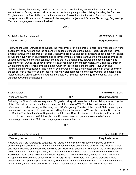various cultures, the enduring contributions and the link, despite time, between the contemporary and ancient worlds. During the second semester, students study early modern history, including the European Enlightenment, the French Revolution, Latin American Revolutions, the Industrial Revolution and Immigration and Urbanization. Cross-curricular integration projects with Science, Technology, Engineering, Math and Language Arts are emphasized.

-OR-

| Social Studies 6 Accelerated |     |     | STEMMS046HS1/S2        |
|------------------------------|-----|-----|------------------------|
| Year long course             | 6th | N/A | <b>Required course</b> |

Following the Core Knowledge sequence, the first semester of sixth grade Honors History focuses on world geography, early humans and the ancient civilizations of Mesopotamia, Egypt, India, Greece and Rome. Students analyze the geographic, political, economic, religious and social structure of each early civilization as well their everyday lives, problems and accomplishments. Students analyze the interactions among the various cultures, the enduring contributions and the link, despite time, between the contemporary and ancient worlds. During the second semester, students study early modern history, including the European Enlightenment, the French Revolution, Latin American Revolutions, the Industrial Revolution and Immigration and Urbanization. The Honors-level course provides a more accelerated, in-depth analysis of the topics, with a focus on primary source reading, historical research and essay writing, and at least one historical novel. Cross-curricular integration projects with Science, Technology, Engineering, Math and Language Arts are emphasized.

| Social Studies 7                                                                                         |     |     | STEMMS047S1/S2         |
|----------------------------------------------------------------------------------------------------------|-----|-----|------------------------|
| Year long course                                                                                         | 7th | N/A | <b>Required course</b> |
| Eollowing the Core Knowledge sequence 7th grade History will cover the period of history surrounding the |     |     |                        |

\_\_\_\_\_\_\_\_\_\_\_\_\_\_\_\_\_\_\_\_\_\_\_\_\_\_\_\_\_\_\_\_\_\_\_\_\_\_\_\_\_\_\_\_\_\_\_\_\_\_\_\_\_\_\_\_\_\_\_\_\_\_\_\_\_\_\_\_\_\_\_\_\_\_\_\_\_\_\_\_\_\_\_\_\_\_\_\_

Following the Core Knowledge sequence, 7th grade History will cover the period of history surrounding the United States from the late nineteenth century until the end of WWII. The following topics and their influences on modern society will be analyzed: U.S. Geography, The rise of the United States as an up and coming world superpower, the political and military forces that created WWI and the Russian Revolution, the Roaring Twenties, the Great Depression, and the New Deal, the rise of totalitarianism in Europe and the events and causes of WWII through 1945. Cross-curricular integration projects with Science, Technology, Engineering, Math and Language Arts are emphasized.

-OR-

# Social Studies 7 Accelerated Number 2008 STEMMS047HS1/S2 Year long course  $\vert$  7th  $\vert$  N/A  $\vert$  **Required course**

Following the Core Knowledge sequence, 7th grade Honors History will cover the period of history surrounding the United States from the late nineteenth century until the end of WWII. The following topics and their influences on modern society will be analyzed: U.S. Geography, The rise of the United States as an up and coming world superpower, the political and military forces that created WWI and the Russian Revolution, the Roaring Twenties, the Great Depression, and the New Deal, the rise of totalitarianism in Europe and the events and causes of WWII through 1945. The Honors-level course provides a more accelerated, in-depth analysis of the topics, with a focus on primary source reading, historical research and essay writing, and at least one historical novel. Cross-curricular integration projects with Science,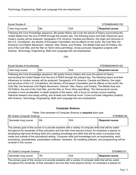| Social Studies 8 |     |     | STEMMS048S1/S2         |
|------------------|-----|-----|------------------------|
| Year long course | 8th | N/A | <b>Required course</b> |

\_\_\_\_\_\_\_\_\_\_\_\_\_\_\_\_\_\_\_\_\_\_\_\_\_\_\_\_\_\_\_\_\_\_\_\_\_\_\_\_\_\_\_\_\_\_\_\_\_\_\_\_\_\_\_\_\_\_\_\_\_\_\_\_\_\_\_\_\_\_\_\_\_\_\_\_\_\_\_\_\_\_\_\_\_\_\_\_

Following the Core Knowledge sequence, 8th grade History will cover the period of history surrounding the United States from the end of WWII through the present day. The following topics and their influences upon modern society will be analyzed: Geography of N. America: Canada and Mexico, the origin and structure of the U.S. Constitution, the decline of European Colonialism and its effects on the world, the Cold War, the American Civil Rights Movement, Vietnam: War, Peace, and Protest, The Middle East and Oil Politics, the end of the Cold War, and the War on Terror (time permitting). Cross-curricular integration projects with Science, Technology, Engineering, Math and Language Arts are emphasized.

-OR-

| Social Studies 8 Accelerated |     |     | STEMMS048HS1/S2        |
|------------------------------|-----|-----|------------------------|
| Year long course             | 8th | N/A | <b>Required course</b> |

Following the Core Knowledge sequence, 8th grade Honors History will cover the period of history surrounding the United States from the end of WWII through the present day. The following topics and their influences on modern society will be analyzed: Geography of N. America: Canada and Mexico, the origin and structure of the U.S. Constitution, the decline of European Colonialism and its effects on the world, the Cold War, the American Civil Rights Movement, Vietnam: War, Peace, and Protest, The Middle East and Oil Politics, the end of the Cold War, and the War on Terror (time permitting). The Honors-level course provides a more accelerated, in-depth analysis of the topics, with a focus on primary source reading, historical research and essay writing, and at least one historical novel. Cross-curricular integration projects with Science, Technology, Engineering, Math and Language Arts are emphasized.

#### **Computer Science**

\*\*Note: One semester of Computer Science is **required** each year.

<span id="page-12-0"></span>6th Grade Computer Science **State According to the Computer Street According to the Computer STEMMS106** 

| Semester long course | 6th | N/A | <b>Required course</b> |
|----------------------|-----|-----|------------------------|
|                      |     |     |                        |

The primary goal of this course is to provide students with a variety of computer skills that will be useful throughout the remainder of their education and into their lives beyond school. An emphasis is placed on developing high-level thinking skills and creating knowledge and skills that will be used in everyday lives inside and outside of the educational setting. Computer skills and knowledge such as keyboarding, word processing, spreadsheets, presentation software, hardware, 3D modeling software, and programming will be covered in this course.

7th Grade Computer Science **State Struck Computer Struck Computer STEMMS107** 3. STEMMS107

| Semester long course | 7th | N/A | <b>Required course</b> |
|----------------------|-----|-----|------------------------|
|----------------------|-----|-----|------------------------|

The primary goal of this course is to provide students with a variety of computer skills that will be useful throughout the remainder of their education and into their lives beyond school. An emphasis is placed on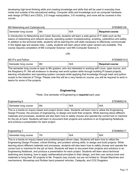developing high-level thinking skills and creating knowledge and skills that will be used in everyday lives inside and outside of the educational setting. Computer skills and knowledge such as computer hardware, web design (HTML5 and CSS3), 2-D image manipulation, 3-D modeling, and more will be covered in this course.

| MS Networking and Cybersecurity |     |     | STEMMS109              |
|---------------------------------|-----|-----|------------------------|
| Semester long course            | 8th | N/A | <b>Required course</b> |

In Introduction to Networking and Cyber Security, students will learn a wide gamut of IT skills such as the basics of networking and network security, operating system troubleshooting, scripting, cyberethics and safety. In addition to the technical skills, students will be learning the soft skills necessary to effectively communicate in the digital age and assess risks. Lastly, students will learn about what cyber careers are available. This course requires completion of MS Computer Science I and MS Computer Science II.

-OR-

| MS Pi's and Python |                      |     | STEMMS1012 |                        |
|--------------------|----------------------|-----|------------|------------------------|
|                    | Semester long course | 8th | N/A        | <b>Required course</b> |

This semester long course is open to 8th graders, who are interested in working with Linux, open source, and the Raspberry Pi. We will endeavor to develop real world system skills through building Pi based projects, learning virtualization and operating system concepts while applying that knowledge through bash and python scripts to the Internet of Things. Please note this will be a very hands-on course, you will be required to work in teams for some of the projects.

#### **Engineering**

#### \*\*Note: One semester of Engineering is **required** each year.

<span id="page-13-0"></span>

| Engineering 6        |     |     | STEMMS216 |
|----------------------|-----|-----|-----------|
| Semester long course | 6th | N/A | N/A       |

This is a hands-on inquiry based and project driven class. Students will learn how to utilize the Engineering Design Process, the process of engineering, to design and build their projects. While learning about different materials and processes, students will also learn how to safely choose and operate the correct tool or machine for the job at hand. Students will learn to document their projects and solutions in an Engineering Notebook, and produce a presentation for each project.

| Engineering          |     |     |     |
|----------------------|-----|-----|-----|
| Semester long course | 7th | N/A | N/A |

This is a hands-on inquiry based and problem/project driven class. Students will learn how to utilize the Engineering Design Process, critical thinking, and problem solving skills, to design and build projects. While learning about different materials and processes, students will also learn how to safely choose and operate the correct tool or machine for the job at hand. Students will learn to document their projects and solutions in an Engineering Notebook, and produce a presentation for each project. Students will learn about technical sketching and drawing, how to apply mathematical principles to their design, and then use various tools and materials to bring their 3D projects to life. Projects may include, but are not limited to: Simple Machines and mechanisms, Mousetrap and Rubber band powered vehicles, Catapults, and CO2 Dragsters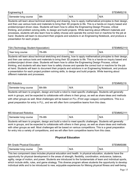| Engineering 8        | STEMMS218 |     |     |
|----------------------|-----------|-----|-----|
| Semester long course | 8th       | N/A | N/A |

Students will learn about technical sketching and drawing, how to apply mathematical principles to their design, and then use various tools and materials to bring their 3D projects to life. This is a hands-on inquiry based and problem/project driven class. Students will learn how to utilize the Engineering Design Process, critical thinking, and problem solving skills, to design and build projects. While learning about different materials and processes, students will also learn how to safely choose and operate the correct tool or machine for the job at hand. Students will learn to document their projects and solutions in an Engineering Notebook, and produce a presentation for each project.

#### TSA (Technology Student Association) STEMMS2110

|  |  | TEMMS2110 |  |
|--|--|-----------|--|
|  |  |           |  |

| Year long | า-8th  | חת־ | N/A |
|-----------|--------|-----|-----|
| course    | $7th-$ | БL  |     |

Students will learn about technical sketching and drawing, how to apply mathematical principles to their design, and then use various tools and materials to bring their 3D projects to life. This is a hands-on inquiry based and problem/project driven class. Students will learn how to utilize the Engineering Design Process, critical thinking, and students will also learn how to safely choose and operate the correct tool or machine for the job at hand. Students will learn to document their projects and solutions in an Engineering Notebook, and produce a presentation for each project.problem solving skills, to design and build projects. While learning about different materials and processes.

| <b>MS Robotics</b>   |         |     |     |  |
|----------------------|---------|-----|-----|--|
| Semester long course | 6th-8th | N/A | N/A |  |

Students will learn to program, design and build a robot to meet specific challenges. Students will generally work in groups, and be expected to collaborate with others in their group, as well as share ideas and methods with other groups as well. Most challenges will be based on FLL (First Lego League) competitions. This is a great preparation for entry in FLL, and we will often form competitive teams from this class.

| <b>MS Advanced Robotics</b> | STEMMS2111 |     |     |
|-----------------------------|------------|-----|-----|
| Semester long course        | 7th-8th    | N/A | N/A |

Students will learn to program, design and build a robot to meet specific challenges. Students will generally work in groups, and be expected to collaborate with others in their group, as well as share ideas and methods with other groups as well. Most challenges will be based on various competitions. This is a great preparation for entry into a variety of competitions, and we will often form competitive teams from this class.

#### **Physical Education**

<span id="page-14-0"></span>

| 6th Grade Physical Education |     |     |     |
|------------------------------|-----|-----|-----|
| Semester long course         | 6th | N/A | N/A |

This two component class includes physical education and health. In physical education, students have the opportunity for physical development in the areas of strength, flexibility, coordination, endurance, balance, agility, range of motion, and power. Students are introduced to the fundamentals of team and individual sports, which include skills, rules, and game strategy. This diverse program allows students the opportunity to develop individual skills and to be introduced to new, enjoyable experiences for lifelong physical fitness and well-being.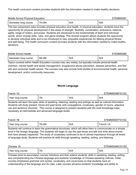The health curriculum content provides students with the information needed to make healthy decisions.

| Middle School Physical Education |  |  | STEMMS087 |
|----------------------------------|--|--|-----------|
|                                  |  |  |           |

| Semester long course | 7th<br>$-8th$<br>. . | N/A | N/L<br>$\mathbf{v}$ |
|----------------------|----------------------|-----|---------------------|
| ____                 |                      | .   | .                   |

This two component class includes physical education and health. In physical education, students have the opportunity for physical development in the areas of strength, flexibility, coordination, endurance, balance, agility, range of motion, and power. Students are introduced to the fundamentals of team and individual sports, which include skills, rules, and game strategy. This diverse program allows students the opportunity to develop individual skills and to be introduced to new, enjoyable experiences for lifelong physical fitness and well-being. The health curriculum content provides students with the information needed to make healthy decisions.

Middle School Health States and Structure of the Structure of Structure of STEMMS088 STEMMS088 STEMMS088 STEMM

| Semester long course | 6th-8th | N/A | N/A |
|----------------------|---------|-----|-----|
|----------------------|---------|-----|-----|

Topics covered within Health Education courses may vary widely, but typically include personal health (nutrition, mental health and stress management, drug/alcohol abuse prevention, disease prevention, and first aid) and consumer health issues. The courses may also include brief studies of environmental health, personal development, and/or community resources.

#### **World Language**

<span id="page-15-0"></span>

| French 1A        |     |     | <b>TEMMS066FS1/S2</b> |
|------------------|-----|-----|-----------------------|
| Year long course | 7th | N/A | N/A                   |

Students will learn the basic skills of speaking, listening, reading and writings as well as cultural information. Students will study present, future and past tense verb conjugations, vocabulary, gender of nouns, adjective use and sentence structure. This course is designed to present students with the solid knowledge base necessary at intermediate and advanced language levels.

| French 1B        |         |     | STEMMS067FS1/S2 |
|------------------|---------|-----|-----------------|
| Year long course | 7th-8th | N/A | French<br>1A    |

Students will continue to learn the grammatical structures, which will allow them to communicate on a simple level in the foreign language. The students will begin to use the past tense and talk and write about events that have already happened. The study of vocabulary continues to be of utmost importance through all levels of language study. Students will practice all skills through speaking, reading, writing, and listening.

Chinese 1A STEMMS066CS1/S2 Year long course 7th N/A N/A N/A

Chinese (prior-to-secondary) courses introduce and then extend students' skills in speaking, reading, writing, and comprehending the Chinese language and students' knowledge of Chinese-speaking cultures. Initial courses emphasize grammar and syntax, vocabulary, and vocal tones so that students have an understanding of the language and its rules. Later courses advance students' knowledge and ability to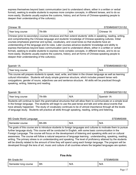express themselves beyond basic communication (and to understand others, either in a written or verbal format), seeking to enable students to express more complex concepts, in different tenses, and to do so more easily. Students usually explore the customs, history, and art forms of Chinese-speaking people to deepen their understanding of the culture(s).

| Chinese<br>1Β    |         |     | <b>TEMMS067CS1/S2</b>   |
|------------------|---------|-----|-------------------------|
| Year long course | 7th-8th | N/A | Chinese<br>$\mathsf{H}$ |

Chinese (prior-to-secondary) courses introduce and then extend students' skills in speaking, reading, writing, and comprehending the Chinese language and students' knowledge of Chinese-speaking cultures. Initial courses emphasize grammar and syntax, vocabulary, and vocal tones so that students have an understanding of the language and its rules. Later courses advance students' knowledge and ability to express themselves beyond basic communication (and to understand others, either in a written or verbal format), seeking to enable students to express more complex concepts, in different tenses, and to do so more easily. Students usually explore the customs, history, and art forms of Chinese-speaking people to deepen their understanding of the culture(s).

| STEMMS066SS1/S2<br>Spanish 1A                                                                                        |     |     |     |
|----------------------------------------------------------------------------------------------------------------------|-----|-----|-----|
| Year long course                                                                                                     | 7th | N/A | N/A |
| This commonly will account of children to conclude the state of the field of the choice of the model of the location |     |     |     |

This course will prepare students to speak, read, write, and listen in the chosen language as well as learning cultural information. Students will study simple grammar structure, which includes present tense verb conjugations, gender of nouns, adjectives use and sentence structure. All skills will be practiced through speaking, writing, listening and reading.

| Spanish<br>1B    |         | TEMMS067SS1/S2 |                 |
|------------------|---------|----------------|-----------------|
| Year long course | 7th-8th | N/A            | 1A<br>Spanish 1 |

Students will continue to learn the grammatical structures that will allow them to communicate on a simple level in the foreign language. The students will begin to use the past tense and talk and write about events that have already happened. The study of vocabulary continues to be of utmost importance through all the levels of language study. Students will practice all skills through speaking, reading, writing and listening.

| MS Grade World Language |         |     | STEMMS068 |
|-------------------------|---------|-----|-----------|
| Semester course         | 6th-8th | N/A | N/A       |

The goals of this course are to introduce students to foreign languages and cultures to motivate them to pursue further language study. This course will be conducted in English, with some basic communication in the Foreign Language. The course will focus on the development of listening and speaking skills and on cultural awareness. The course will follow a natural sequence of language learning : understanding, speaking, reading, writing. The primary stress is on understanding and speaking. The level of proficiency attained by the students will be directly related to the amount of time they will spend using each foreign language. The program will be developed through the lens of art, music and culture of all countries where the targeted languages are spoken.

# <span id="page-16-0"></span>**Fine Arts** 6th Grade Art Structure Art Structure Art Structure Art Structure Art STEMMS056 Semester long course 6th N/A N/A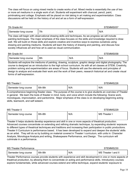The class will focus on using mixed media to create works of art. Mixed media is essentially the use of two or more art mediums in a single work of art. Students will experiment with charcoal, pencil, paint, printmaking and collage. Emphasis will be placed on risk taking in art making and experimentation. Class discussions will be held on the history of art and art as a form of self-expression.

| 7th Grade Art        |     |     | TEMMS057 |
|----------------------|-----|-----|----------|
| Semester long course | 7th | N/A | N/A      |

The class will begin with observational drawing skills and techniques. As we progress we will include painting techniques. The major emphasis of the class focuses on the skills and knowledge required to draw well. We will build on those skills and explore creative and inventive ways to express ourselves using drawing and painting mediums. Students will learn the history of drawing and painting, and discuss how society influences art and how art is used as visual communication.

| 8th Grade Art        |     |     | TEMMS058 |
|----------------------|-----|-----|----------|
| Semester long course | 8th | N/A | N/A      |

Students will explore the mediums of painting, drawing, sculpture, graphic design and digital photography. The course is designed as an introduction to the high school curriculum. As with all art classes at STEM, Creativity, problem solving and experimentation are areas of focus. Students will use the elements and principles of design to analyze and evaluate their work and the work of their peers, research historical art and create visual forms of self-expression.

| <b>MS Theater I</b>  |         |     | STEMMS226 |
|----------------------|---------|-----|-----------|
| Semester long course | 6th-8th | N/A | N/A       |

A comprehensive beginning theater class. The purpose of the course is to give students an overview of Theater in general. We learn the tools of theater in mind. body. and voice which include the following: Scene work, monologues, improvisation, and pantomime. Major emphasis of the class is on developing beginning acting skills, teamwork, and self esteem.

MS Theater II Structure of the STEMMS229 STEMMS229

| Semester long course | 6th-8th | N/A | MS Theater |
|----------------------|---------|-----|------------|
|                      |         |     |            |

Theater II helps students develop experience and skill in one or more aspects of theatrical production. Advanced courses concentrate on extending and refining dramatic technique, by expanding students' exposure to different types of theatrical techniques and traditions and increasing their participation in public productions. Theater II Curriculum is performance based. It has been developed to expand and deepen the students' skills as an artist. They will do so by building on material covered in Theater I curriculum, with units in: Character Analysis, Monologue Analysis,and writing, Shakespeare Performance, and Design. The curriculum will culminate in a performance.

MS Theater Performance **STEMMS230** Semester long course | 6th-8th  $N/A$  | MS Theater I and II

Theater Performance courses provide students with experience and skill development in one or more aspects of theatrical production, by allowing them to concentrate on acting and performance skills. Introductory courses explore fundamentals, while advanced courses extend and refine technique, expand students' exposure to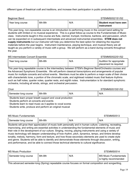different types of theatrical craft and traditions, and increase their participation in public productions.

| <b>Beginner Band</b> |         |     | STEMMS0521S1/S2       |
|----------------------|---------|-----|-----------------------|
| Year long course     | 6th-8th | N/A | Student must have own |
|                      |         |     | instrument            |

This year-long, non-repeatable course is an introduction to performing music in the concert band setting for students with limited or no musical experience. This is a great follow-up course to the Fundamentals of Music class. Instruments taught in this course are flute, clarinet, trumpet, trombone, baritone, and percussion, which can be expanded on in subsequent intermediate and advanced instrumental ensembles. **STEM does not supply instruments** but our instructor will help you determine the best option for obtaining the required materials before the year begins. Instrument maintenance, playing technique, and musical theory are all taught as you perform a variety of music with a group. We will perform as a band during concerts throughout the year.

#### MS Intermediate Concert Ensemble STEMMS0522S1/S2

| Year long course | 6th-8th | N/A | Audition for appropriate<br>placement iis required |
|------------------|---------|-----|----------------------------------------------------|
|------------------|---------|-----|----------------------------------------------------|

This year-long repeatable course is the intermediary between STEM's Beginner Band/Orchestra courses and the Advanced Symphonic Ensemble. We will perform classical transcriptions and arrangements of popular music for multiple concerts and school events. Members must be able to perform a major scale of their choice with characteristic tone, a portion of the chromatic scale, and sightread notated music that feature rhythms such as half notes, quarter notes, quarter rests, and eighth notes. Instrumentation is for standard symphonic orchestra, including all winds, strings, and orchestral percussion.

Choir Choir STEMMS0515S1/S2

| N/A<br>6th-8th<br>course<br>Tong<br>N/L<br>nester |  |
|---------------------------------------------------|--|

· Students learn proper breath support and vocal production

· Students perform at concerts and events

· Students learn to read music as it applies to vocal scores

· Students write, produce and perform an original musical

| <b>MS Music Fundamentals</b> |         |     | STEMMS0513 |
|------------------------------|---------|-----|------------|
| Semester long course         | 6th-8th | N/A | N/A        |

Students will grow their appreciation of music both personally and in human culture. Listening, recreating, improvising, and writing are essential activities in understanding the fundamental elements of music and their role in the development of our culture. Singing, moving, playing instruments and using a variety of music technology will deepen understanding of how rhythm, pitch, dynamics, tempo, and timbre develop tonality, melody, harmony, form and texture, and how those secondary elements are used to create style and genre. Students will be able to identify and demonstrate those elements through discussion, writing, and performance, and be able to connect those technical elements to cultural significance.

| <b>MS Music Production</b> |                      |         | STEMMS0514 |                                                       |
|----------------------------|----------------------|---------|------------|-------------------------------------------------------|
|                            | Semester long course | 6th-8th | N/A        | <b>MS Music Fundamentals</b><br>is highly recommended |

This advanced semester-long (Spring) repeatable course focuses on formal composition and songwriting,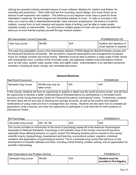utilizing two powerful industry-standard pieces of music software (Sibelius for notation and Ableton for recording and production). Other skills built are live recording, sound design, and music theory as an avenue to self expression and creation. This follow-up to any beginner music class is great for those interested in exploring the technological and theoretical aspects of music. In order to succeed in this class, you must be able to describe/demonstrate: basic harmonic progressions, the basics of rhythmic notation, musical form (in both classical and popular styles of writing), and be able to create simple melodies vocally or instrumentally. You will produce multiple pieces of music and you will build skills that allow you to more fluently express yourself through musical creation.

### MS Intermediate Concert Ensemble STEMMS0522S1/S2

| Year long course | 6th-8th | N/A | Audition and signature of |
|------------------|---------|-----|---------------------------|
|                  |         |     | music teacher is required |

This year-long repeatable course is the intermediary between STEM's Beginner Band/Orchestra courses and the Advanced Symphonic Ensemble. We will perform classical transcriptions and arrangements of popular music for multiple concerts and school events. Members must be able to perform a major scale of their choice with characteristic tone, a portion of the chromatic scale, and sightread notated music that feature rhythms such as half notes, quarter notes, quarter rests, and eighth notes. Instrumentation is for standard symphonic orchestra, including all winds, strings, and orchestral percussion.

#### **General Electives**

#### <span id="page-19-0"></span>Real World Economics **STEMMS049** Semester long course  $\vert$  6th-8th (can only be taken once) N/A N/A

In this course, students will have an opportunity to explore in depth how the world economy works, and will have the opportunity to develop a better understanding of interdependence by participating in a simulated world economy at the Young Americans Center for Financial Education's International Towne. Furthermore, students will learn about the ins and outs of checking and savings accounts, as well as the positive and negative ramifications of using credit and how to manage their own money. Students will also learn how to complete job applications, write a resume, and have the opportunity to participate in a job interview for their positions at International Towne.

| <b>MS Psychology</b> |               |     | STEMMS0413 |
|----------------------|---------------|-----|------------|
| Semester long course | 6th, 7th, 8th | N/A | N/A        |

This course provides an introduction to the world of psychology based off of the American Psychological Association's National Standards. Psychology is the scientific study of the human mind and its functions, especially those affecting behavior in a given context.The following domains will be covered in this course; scientific inquiry, biopsychology, development and learning, sociocultural context, cognition, individual variations and applications of psychological science. This is a semester-long course that will focus on the development of scientific attitudes and skills, including critical thinking, problem solving, and an appreciation for scientific methodology.

| Math Explorations and Problem Solving |         |     | STEMMS0213                                 |
|---------------------------------------|---------|-----|--------------------------------------------|
| Semester long course                  | 6th-8th | N/A | Student must be<br>enrolled in Pre-Algebra |